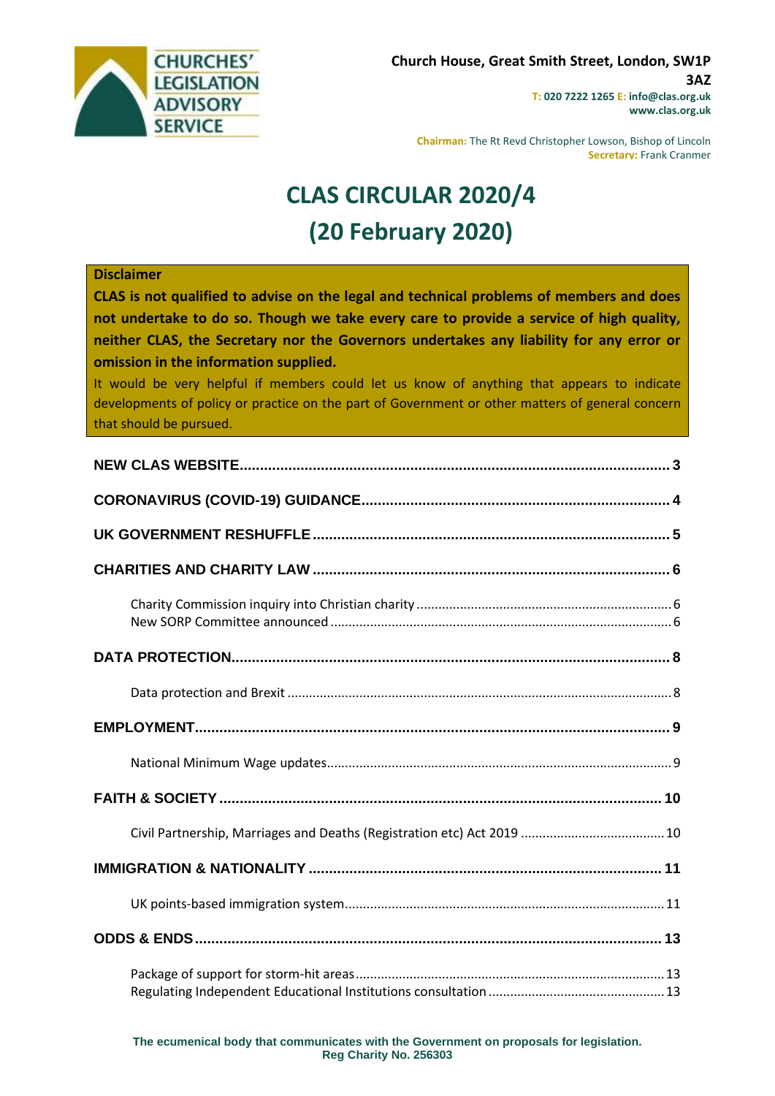

**Chairman:** The Rt Revd Christopher Lowson, Bishop of Lincoln **Secretary:** Frank Cranmer

# **CLAS CIRCULAR 2020/4 (20 February 2020)**

#### **Disclaimer**

**CLAS is not qualified to advise on the legal and technical problems of members and does not undertake to do so. Though we take every care to provide a service of high quality, neither CLAS, the Secretary nor the Governors undertakes any liability for any error or omission in the information supplied.**

It would be very helpful if members could let us know of anything that appears to indicate developments of policy or practice on the part of Government or other matters of general concern that should be pursued.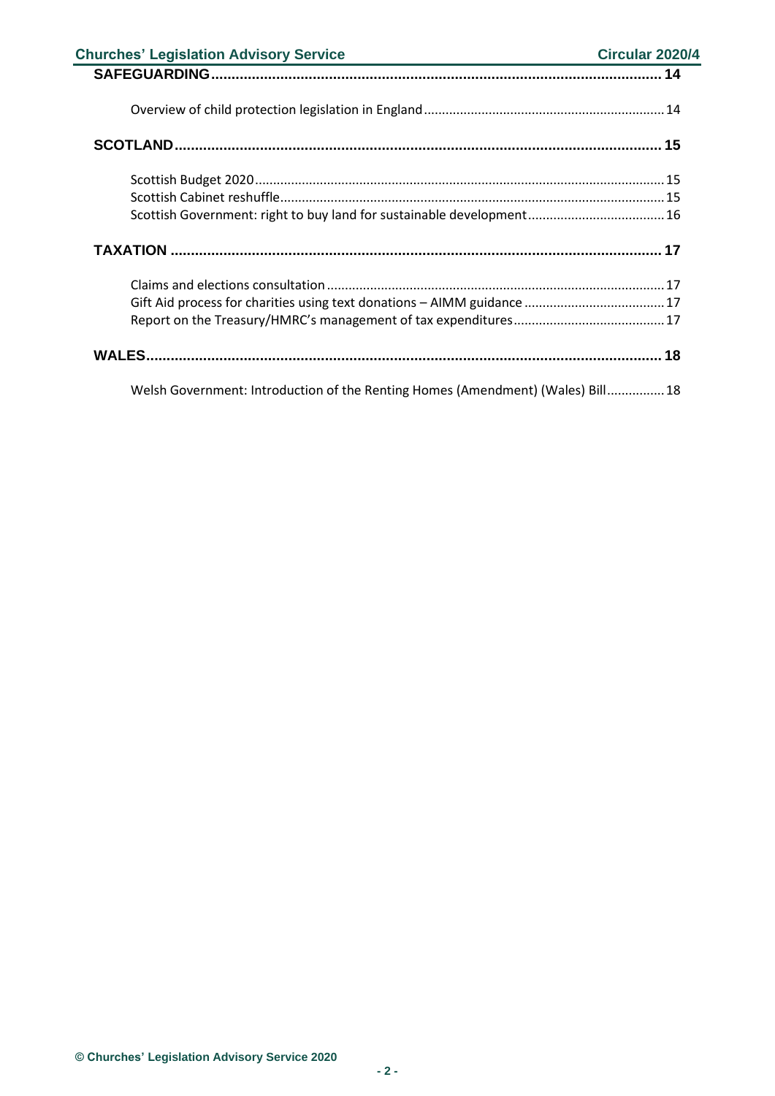| <b>Churches' Legislation Advisory Service</b><br><u> 1989 - Johann Harry Harry Harry Harry Harry Harry Harry Harry Harry Harry Harry Harry Harry Harry Harry Harry</u> | Circular 2020/4 |
|------------------------------------------------------------------------------------------------------------------------------------------------------------------------|-----------------|
|                                                                                                                                                                        |                 |
|                                                                                                                                                                        |                 |
|                                                                                                                                                                        |                 |
|                                                                                                                                                                        |                 |
|                                                                                                                                                                        |                 |
| Scottish Government: right to buy land for sustainable development 16                                                                                                  |                 |
|                                                                                                                                                                        |                 |
|                                                                                                                                                                        |                 |
|                                                                                                                                                                        |                 |
|                                                                                                                                                                        |                 |
|                                                                                                                                                                        |                 |
| Welsh Government: Introduction of the Renting Homes (Amendment) (Wales) Bill 18                                                                                        |                 |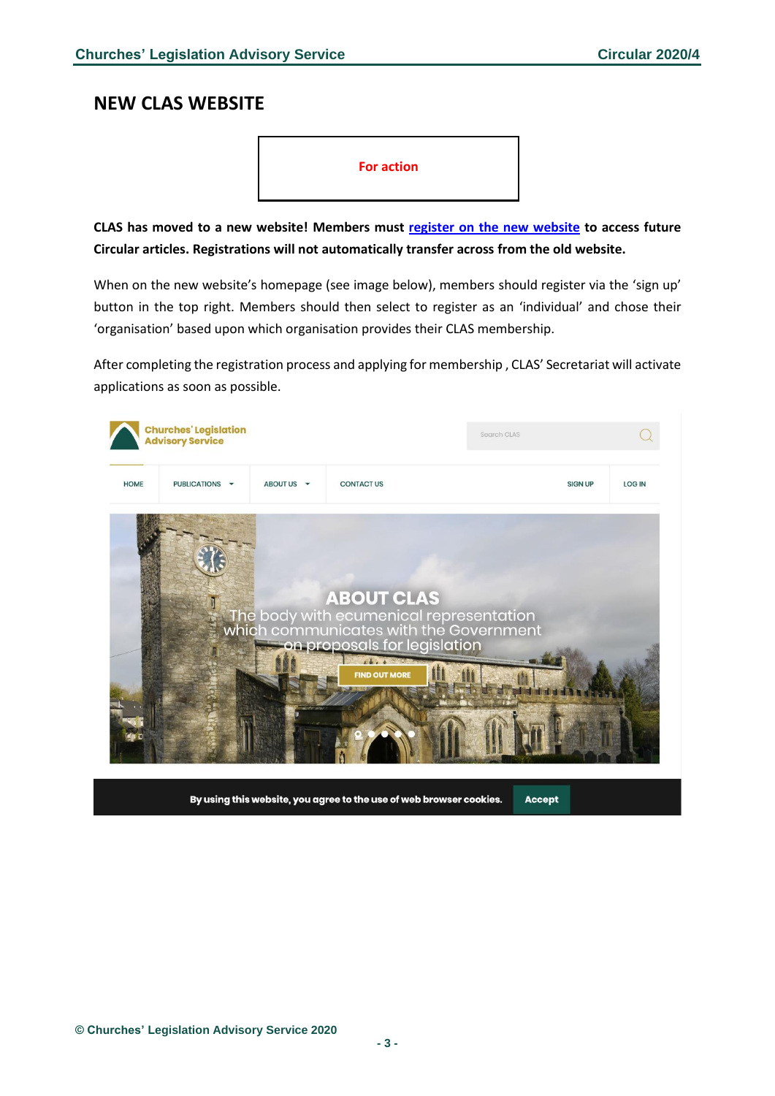## <span id="page-2-0"></span>**NEW CLAS WEBSITE**



**CLAS has moved to a new website! Members must [register on the new website](https://www.churcheslegislation.org.uk/) to access future Circular articles. Registrations will not automatically transfer across from the old website.**

When on the new website's homepage (see image below), members should register via the 'sign up' button in the top right. Members should then select to register as an 'individual' and chose their 'organisation' based upon which organisation provides their CLAS membership.

After completing the registration process and applying for membership , CLAS' Secretariat will activate applications as soon as possible.

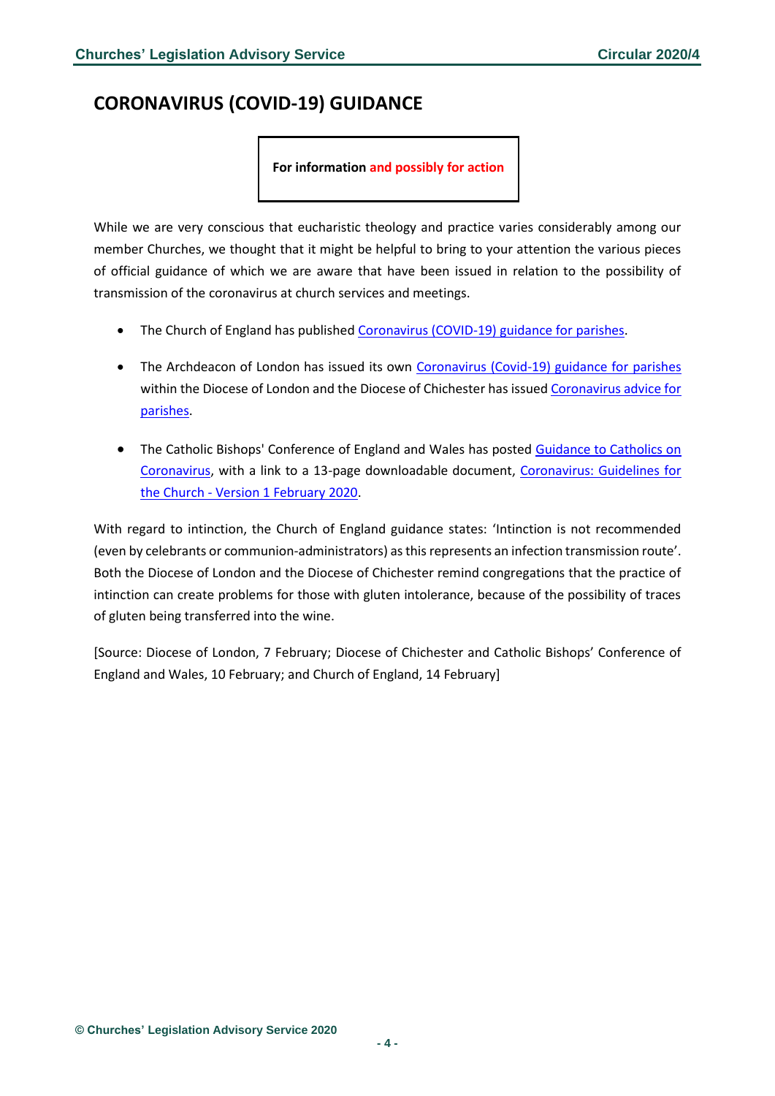# <span id="page-3-0"></span>**CORONAVIRUS (COVID-19) GUIDANCE**

**For information and possibly for action**

While we are very conscious that eucharistic theology and practice varies considerably among our member Churches, we thought that it might be helpful to bring to your attention the various pieces of official guidance of which we are aware that have been issued in relation to the possibility of transmission of the coronavirus at church services and meetings.

- The Church of England has published [Coronavirus \(COVID-19\) guidance for parishes.](https://www.churchofengland.org/more/media-centre/coronavirus-covid-19-guidance-parishes)
- The Archdeacon of London has issued its own [Coronavirus \(Covid-19\) guidance for parishes](https://www.london.anglican.org/articles/coronavirus-guidance-for-parishes/) within the Diocese of London and the Diocese of Chichester has issue[d Coronavirus advice for](https://www.chichester.anglican.org/glitter_news/2020/02/10/coronavirus-advice-parishes/)  [parishes.](https://www.chichester.anglican.org/glitter_news/2020/02/10/coronavirus-advice-parishes/)
- The Catholic Bishops' Conference of England and Wales has posted Guidance to Catholics on [Coronavirus,](https://www.cbcew.org.uk/guidance-to-catholics-on-coronavirus/) with a link to a 13-page downloadable document, [Coronavirus: Guidelines for](https://www.cbcew.org.uk/wp-content/uploads/sites/3/2020/02/cbcew-coronavirus-guidelines-2020-v1.pdf)  the Church - [Version 1 February 2020.](https://www.cbcew.org.uk/wp-content/uploads/sites/3/2020/02/cbcew-coronavirus-guidelines-2020-v1.pdf)

With regard to intinction, the Church of England guidance states: 'Intinction is not recommended (even by celebrants or communion-administrators) as this represents an infection transmission route'. Both the Diocese of London and the Diocese of Chichester remind congregations that the practice of intinction can create problems for those with gluten intolerance, because of the possibility of traces of gluten being transferred into the wine.

[Source: Diocese of London, 7 February; Diocese of Chichester and Catholic Bishops' Conference of England and Wales, 10 February; and Church of England, 14 February]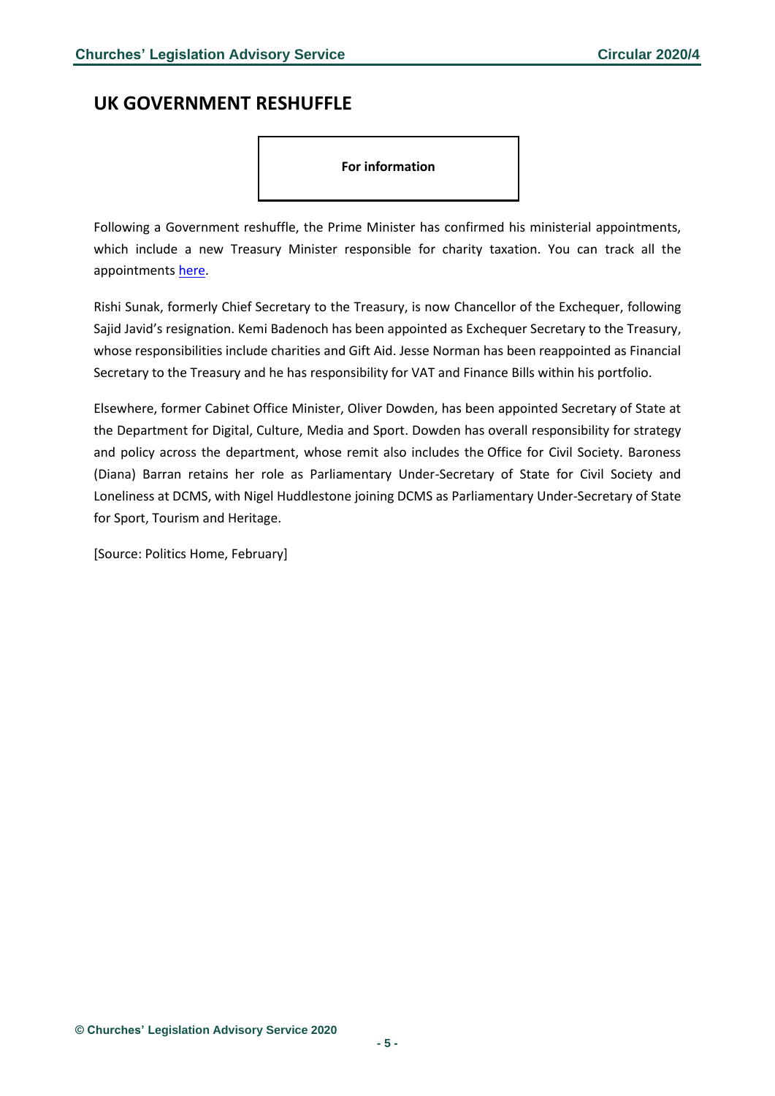# <span id="page-4-0"></span>**UK GOVERNMENT RESHUFFLE**

#### **For information**

Following a Government reshuffle, the Prime Minister has confirmed his ministerial appointments, which include a new Treasury Minister responsible for charity taxation. You can track all the appointments [here.](https://www.politicshome.com/news/uk/political-parties/conservative-party/news/dods-people/109868/updating-live-track-every-move)

Rishi Sunak, formerly Chief Secretary to the Treasury, is now Chancellor of the Exchequer, following Sajid Javid's resignation. Kemi Badenoch has been appointed as Exchequer Secretary to the Treasury, whose responsibilities include charities and Gift Aid. Jesse Norman has been reappointed as Financial Secretary to the Treasury and he has responsibility for VAT and Finance Bills within his portfolio.

Elsewhere, former Cabinet Office Minister, Oliver Dowden, has been appointed Secretary of State at the Department for Digital, Culture, Media and Sport. Dowden has overall responsibility for strategy and policy across the department, whose remit also includes the Office for Civil Society. Baroness (Diana) Barran retains her role as Parliamentary Under-Secretary of State for Civil Society and Loneliness at DCMS, with Nigel Huddlestone joining DCMS as Parliamentary Under-Secretary of State for Sport, Tourism and Heritage.

[Source: Politics Home, February]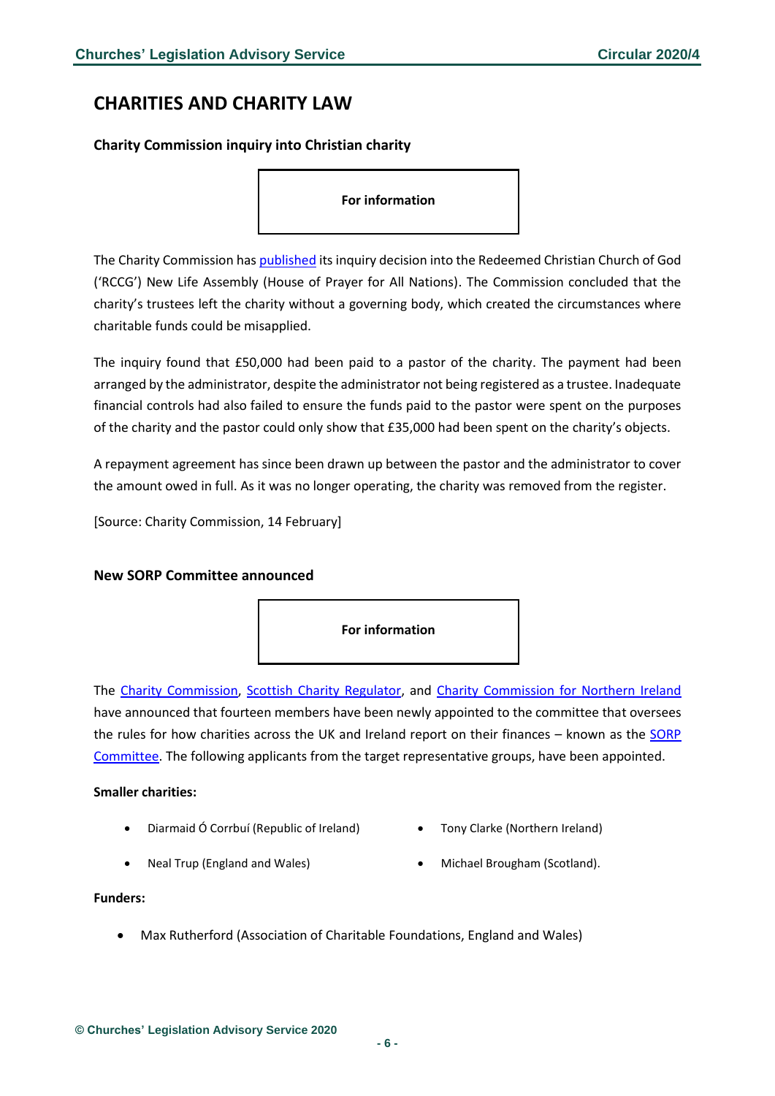# <span id="page-5-0"></span>**CHARITIES AND CHARITY LAW**

<span id="page-5-1"></span>**Charity Commission inquiry into Christian charity**

#### **For information**

The Charity Commission ha[s published](https://www.gov.uk/government/publications/charity-inquiry-redeemed-christian-church-of-god-rccg-new-life-assembly-house-of-prayer-for-all-nations) its inquiry decision into the Redeemed Christian Church of God ('RCCG') New Life Assembly (House of Prayer for All Nations). The Commission concluded that the charity's trustees left the charity without a governing body, which created the circumstances where charitable funds could be misapplied.

The inquiry found that £50,000 had been paid to a pastor of the charity. The payment had been arranged by the administrator, despite the administrator not being registered as a trustee. Inadequate financial controls had also failed to ensure the funds paid to the pastor were spent on the purposes of the charity and the pastor could only show that £35,000 had been spent on the charity's objects.

A repayment agreement has since been drawn up between the pastor and the administrator to cover the amount owed in full. As it was no longer operating, the charity was removed from the register.

[Source: Charity Commission, 14 February]

### <span id="page-5-2"></span>**New SORP Committee announced**



The [Charity Commission,](https://www.gov.uk/government/news/regions-and-small-charities-get-bigger-role-in-advising-on-charity-accounts) [Scottish Charity Regulator,](https://www.oscr.org.uk/news/regions-and-small-charities-get-bigger-role-in-advising-on-charity-accounts/) and [Charity Commission for Northern Ireland](https://www.charitycommissionni.org.uk/news/new-sorp-committee-announced/) have announced that fourteen members have been newly appointed to the committee that oversees the rules for how charities across the UK and Ireland report on their finances – known as the [SORP](http://www.charitysorp.org/)  [Committee.](http://www.charitysorp.org/) The following applicants from the target representative groups, have been appointed.

#### **Smaller charities:**

- Diarmaid Ó Corrbuí (Republic of Ireland) Tony Clarke (Northern Ireland)
	-
- 
- Neal Trup (England and Wales) Michael Brougham (Scotland).

#### **Funders:**

• Max Rutherford (Association of Charitable Foundations, England and Wales)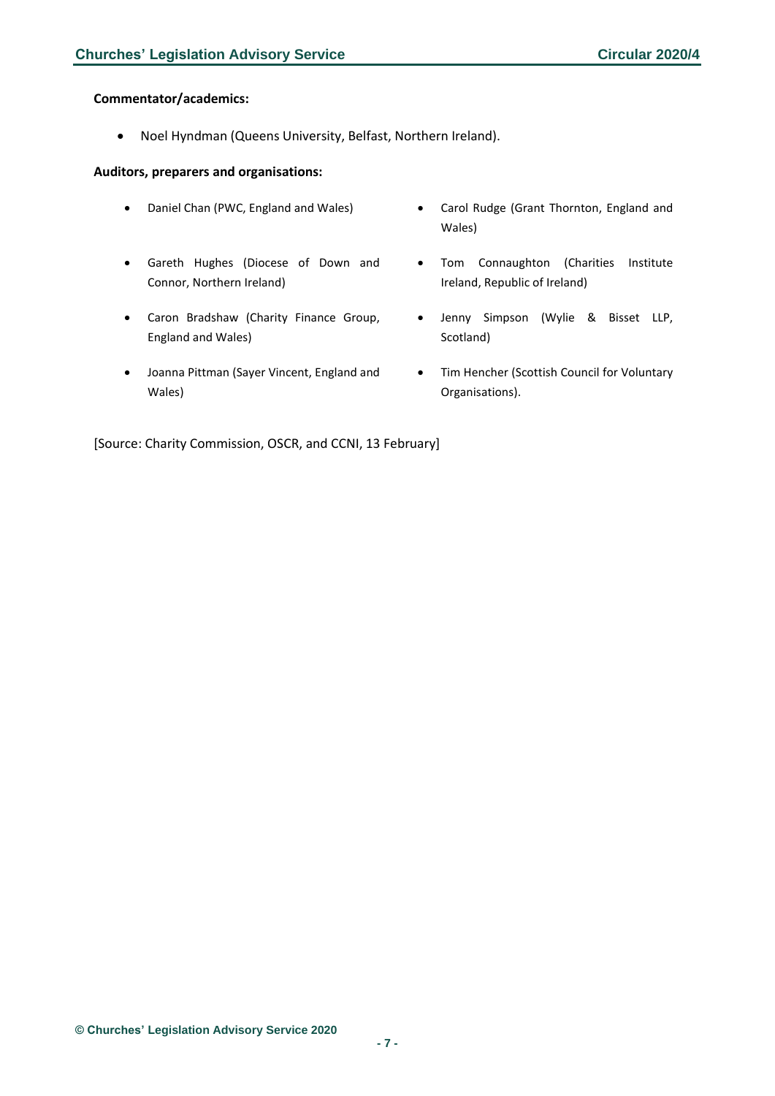#### **Commentator/academics:**

• Noel Hyndman (Queens University, Belfast, Northern Ireland).

#### **Auditors, preparers and organisations:**

- 
- Gareth Hughes (Diocese of Down and Connor, Northern Ireland)
- Caron Bradshaw (Charity Finance Group, England and Wales)
- Joanna Pittman (Sayer Vincent, England and Wales)
- Daniel Chan (PWC, England and Wales) Carol Rudge (Grant Thornton, England and Wales)
	- Tom Connaughton (Charities Institute Ireland, Republic of Ireland)
	- Jenny Simpson (Wylie & Bisset LLP, Scotland)
	- Tim Hencher (Scottish Council for Voluntary Organisations).

[Source: Charity Commission, OSCR, and CCNI, 13 February]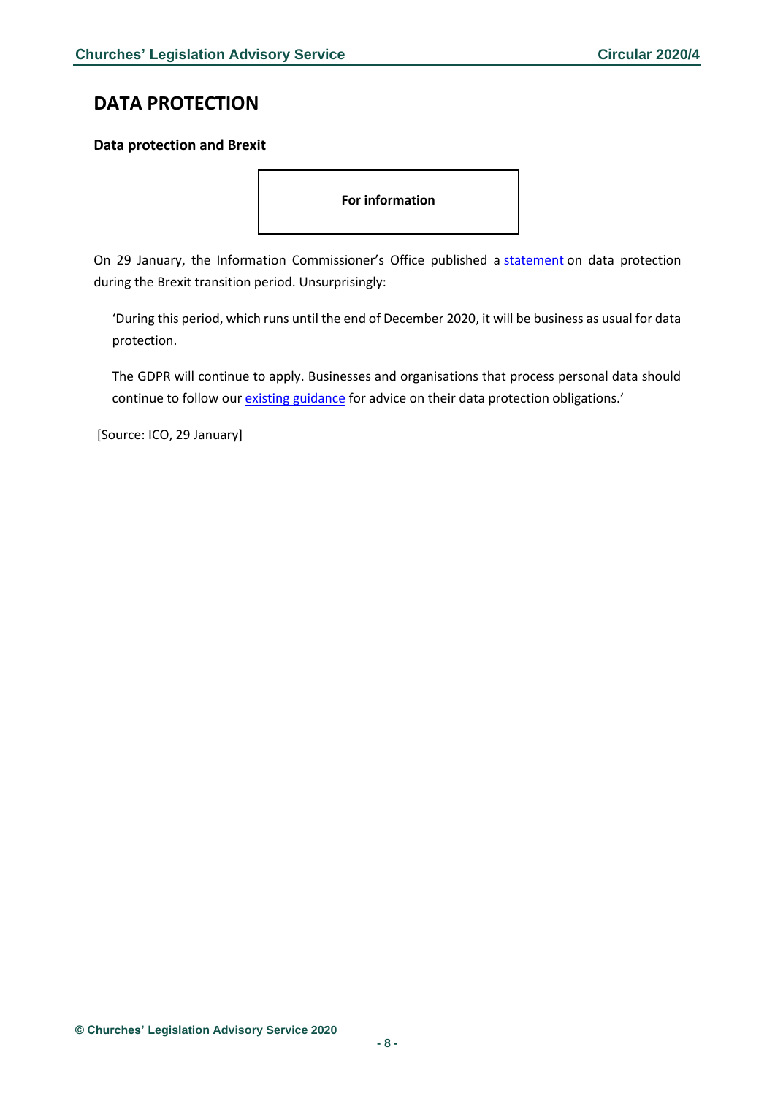# <span id="page-7-0"></span>**DATA PROTECTION**

### <span id="page-7-1"></span>**Data protection and Brexit**

**For information** 

On 29 January, the Information Commissioner's Office published a [statement](https://ico.org.uk/about-the-ico/news-and-events/news-and-blogs/2020/01/statement-on-data-protection-and-brexit-implementation-what-you-need-to-do/) on data protection during the Brexit transition period. Unsurprisingly:

'During this period, which runs until the end of December 2020, it will be business as usual for data protection.

The GDPR will continue to apply. Businesses and organisations that process personal data should continue to follow our [existing guidance](https://ico.org.uk/for-organisations/data-protection-and-brexit/) for advice on their data protection obligations.'

[Source: ICO, 29 January]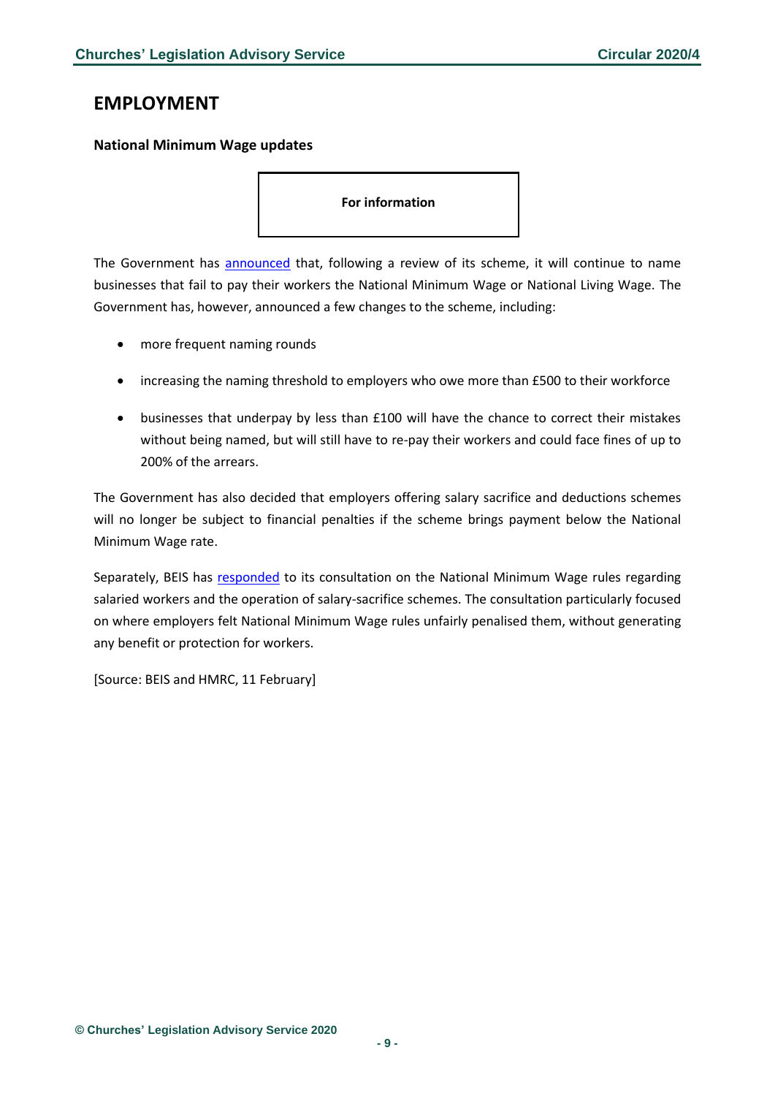# <span id="page-8-0"></span>**EMPLOYMENT**

### <span id="page-8-1"></span>**National Minimum Wage updates**

**For information** 

The Government has **announced** that, following a review of its scheme, it will continue to name businesses that fail to pay their workers the National Minimum Wage or National Living Wage. The Government has, however, announced a few changes to the scheme, including:

- more frequent naming rounds
- increasing the naming threshold to employers who owe more than £500 to their workforce
- businesses that underpay by less than £100 will have the chance to correct their mistakes without being named, but will still have to re-pay their workers and could face fines of up to 200% of the arrears.

The Government has also decided that employers offering salary sacrifice and deductions schemes will no longer be subject to financial penalties if the scheme brings payment below the National Minimum Wage rate.

Separately, BEIS has [responded](https://assets.publishing.service.gov.uk/government/uploads/system/uploads/attachment_data/file/864185/salaried-hours-work-salary-sacrifice-consultation-government-response.pdf) to its consultation on the National Minimum Wage rules regarding salaried workers and the operation of salary-sacrifice schemes. The consultation particularly focused on where employers felt National Minimum Wage rules unfairly penalised them, without generating any benefit or protection for workers.

[Source: BEIS and HMRC, 11 February]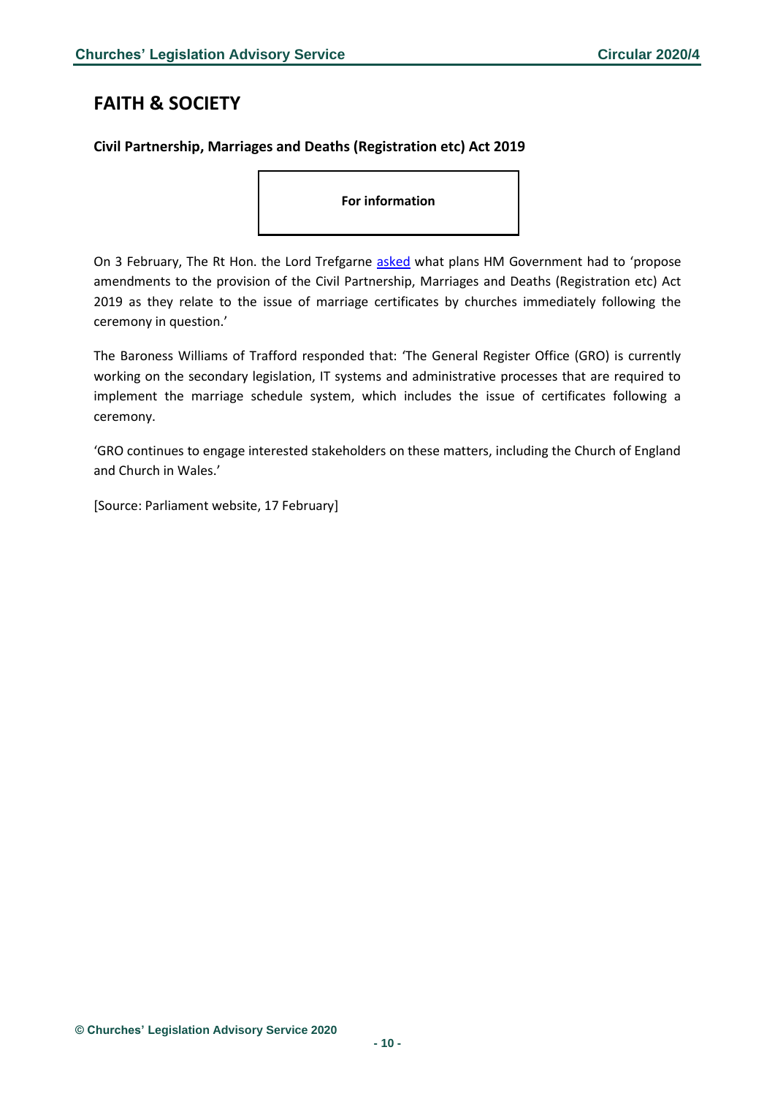# <span id="page-9-0"></span>**FAITH & SOCIETY**

### <span id="page-9-1"></span>**Civil Partnership, Marriages and Deaths (Registration etc) Act 2019**

**For information** 

On 3 February, The Rt Hon. the Lord Trefgarne [asked](https://www.parliament.uk/business/publications/written-questions-answers-statements/written-question/Lords/2020-02-03/HL1293/) what plans HM Government had to 'propose amendments to the provision of the Civil Partnership, Marriages and Deaths (Registration etc) Act 2019 as they relate to the issue of marriage certificates by churches immediately following the ceremony in question.'

The Baroness Williams of Trafford responded that: 'The General Register Office (GRO) is currently working on the secondary legislation, IT systems and administrative processes that are required to implement the marriage schedule system, which includes the issue of certificates following a ceremony.

'GRO continues to engage interested stakeholders on these matters, including the Church of England and Church in Wales.'

[Source: Parliament website, 17 February]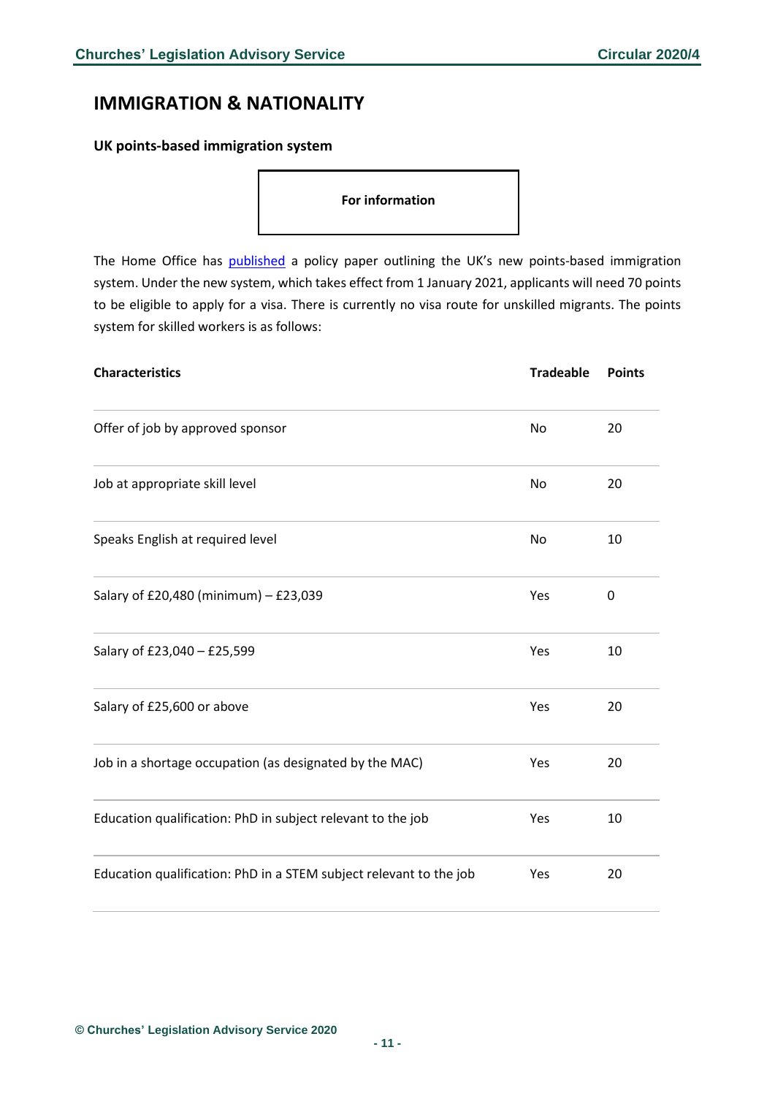# <span id="page-10-0"></span>**IMMIGRATION & NATIONALITY**

#### <span id="page-10-1"></span>**UK points-based immigration system**

**For information** 

The Home Office has [published](https://www.gov.uk/government/publications/the-uks-points-based-immigration-system-policy-statement?utm_source=adda7e36-20e4-4894-ac9d-dc892abcae49&utm_medium=email&utm_campaign=govuk-notifications&utm_content=daily) a policy paper outlining the UK's new points-based immigration system. Under the new system, which takes effect from 1 January 2021, applicants will need 70 points to be eligible to apply for a visa. There is currently no visa route for unskilled migrants. The points system for skilled workers is as follows:

| <b>Characteristics</b>                                             | <b>Tradeable</b> | <b>Points</b> |
|--------------------------------------------------------------------|------------------|---------------|
| Offer of job by approved sponsor                                   | No               | 20            |
| Job at appropriate skill level                                     | No               | 20            |
| Speaks English at required level                                   | No               | 10            |
| Salary of £20,480 (minimum) - £23,039                              | Yes              | $\mathbf 0$   |
| Salary of £23,040 - £25,599                                        | Yes              | 10            |
| Salary of £25,600 or above                                         | Yes              | 20            |
| Job in a shortage occupation (as designated by the MAC)            | Yes              | 20            |
| Education qualification: PhD in subject relevant to the job        | Yes              | 10            |
| Education qualification: PhD in a STEM subject relevant to the job | Yes              | 20            |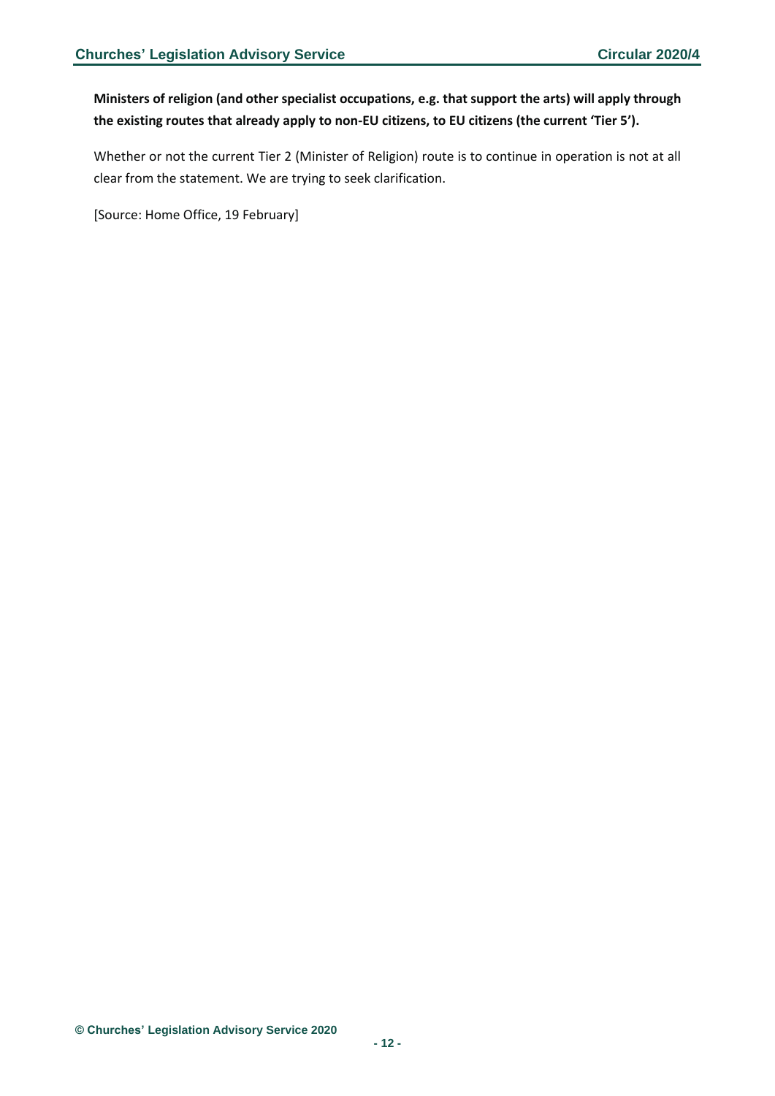### **Ministers of religion (and other specialist occupations, e.g. that support the arts) will apply through the existing routes that already apply to non-EU citizens, to EU citizens (the current 'Tier 5').**

Whether or not the current Tier 2 (Minister of Religion) route is to continue in operation is not at all clear from the statement. We are trying to seek clarification.

[Source: Home Office, 19 February]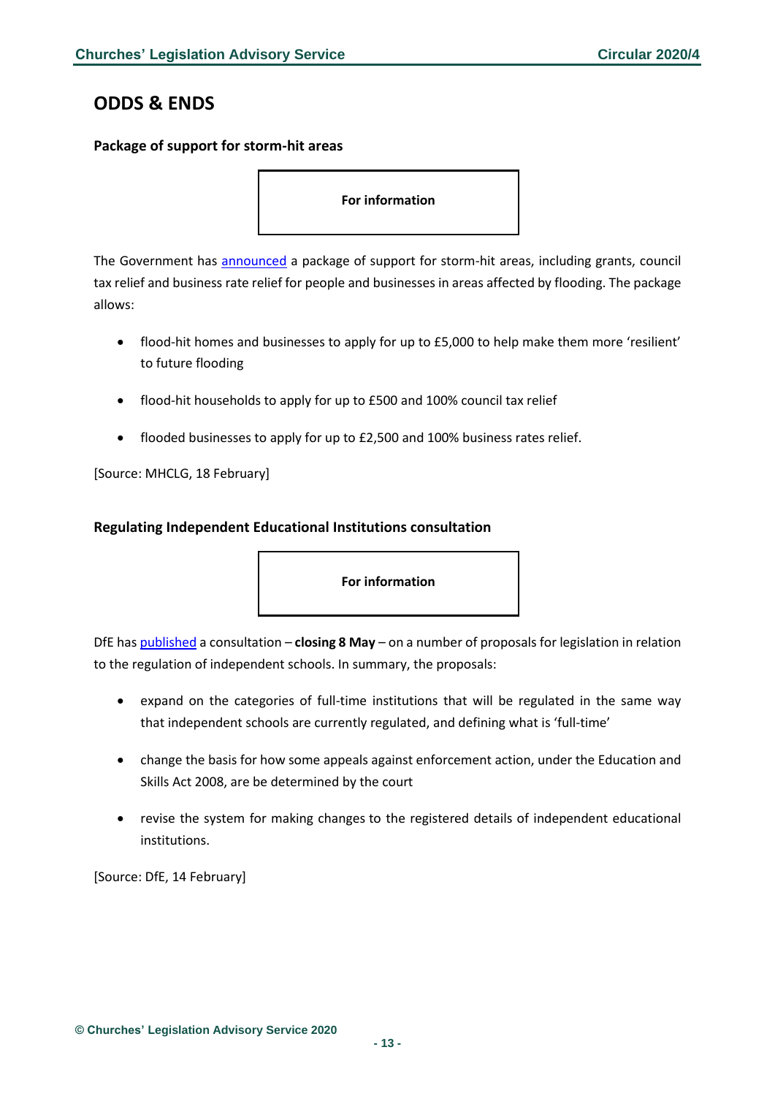# <span id="page-12-0"></span>**ODDS & ENDS**

### <span id="page-12-1"></span>**Package of support for storm-hit areas**

**For information** 

The Government has **announced** a package of support for storm-hit areas, including grants, council tax relief and business rate relief for people and businesses in areas affected by flooding. The package allows:

- flood-hit homes and businesses to apply for up to £5,000 to help make them more 'resilient' to future flooding
- flood-hit households to apply for up to £500 and 100% council tax relief
- flooded businesses to apply for up to £2,500 and 100% business rates relief.

[Source: MHCLG, 18 February]

### <span id="page-12-2"></span>**Regulating Independent Educational Institutions consultation**

**For information** 

DfE ha[s published](https://consult.education.gov.uk/school-frameworks/regulating-independent-education-institutions/consultation/) a consultation – **closing 8 May** – on a number of proposals for legislation in relation to the regulation of independent schools. In summary, the proposals:

- expand on the categories of full-time institutions that will be regulated in the same way that independent schools are currently regulated, and defining what is 'full-time'
- change the basis for how some appeals against enforcement action, under the Education and Skills Act 2008, are be determined by the court
- revise the system for making changes to the registered details of independent educational institutions.

[Source: DfE, 14 February]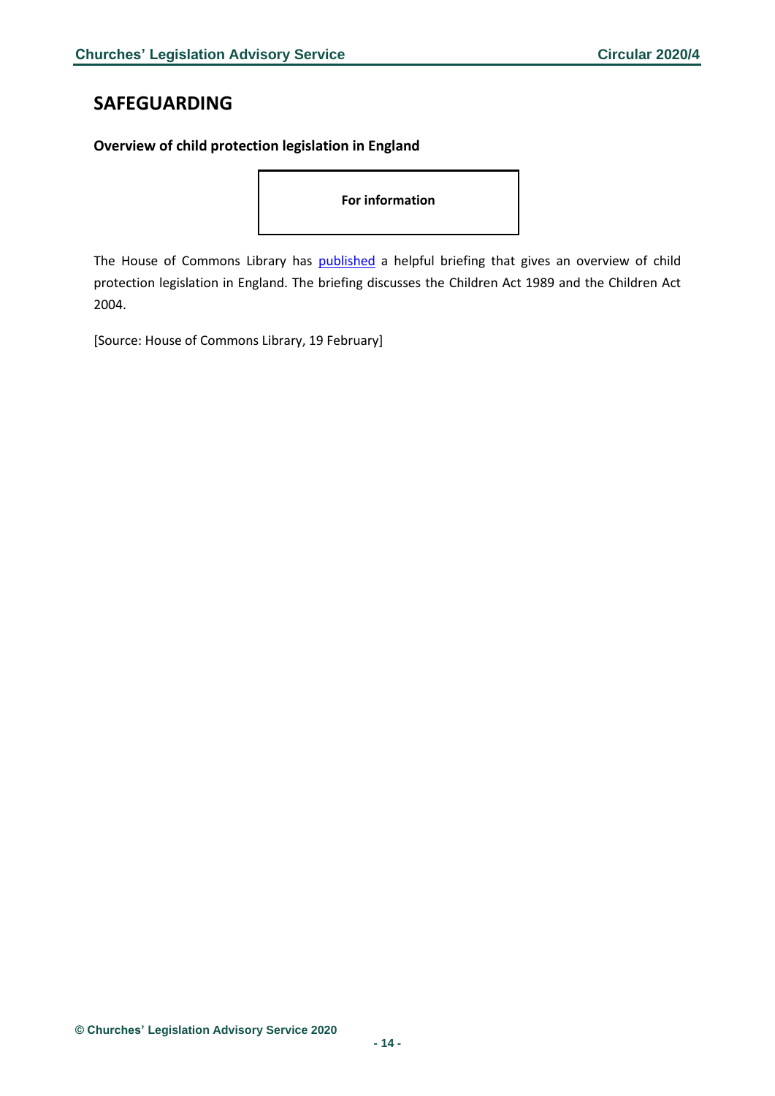# <span id="page-13-0"></span>**SAFEGUARDING**

### <span id="page-13-1"></span>**Overview of child protection legislation in England**

**For information** 

The House of Commons Library has [published](https://researchbriefings.parliament.uk/ResearchBriefing/Summary/SN06787) a helpful briefing that gives an overview of child protection legislation in England. The briefing discusses the Children Act 1989 and the Children Act 2004.

[Source: House of Commons Library, 19 February]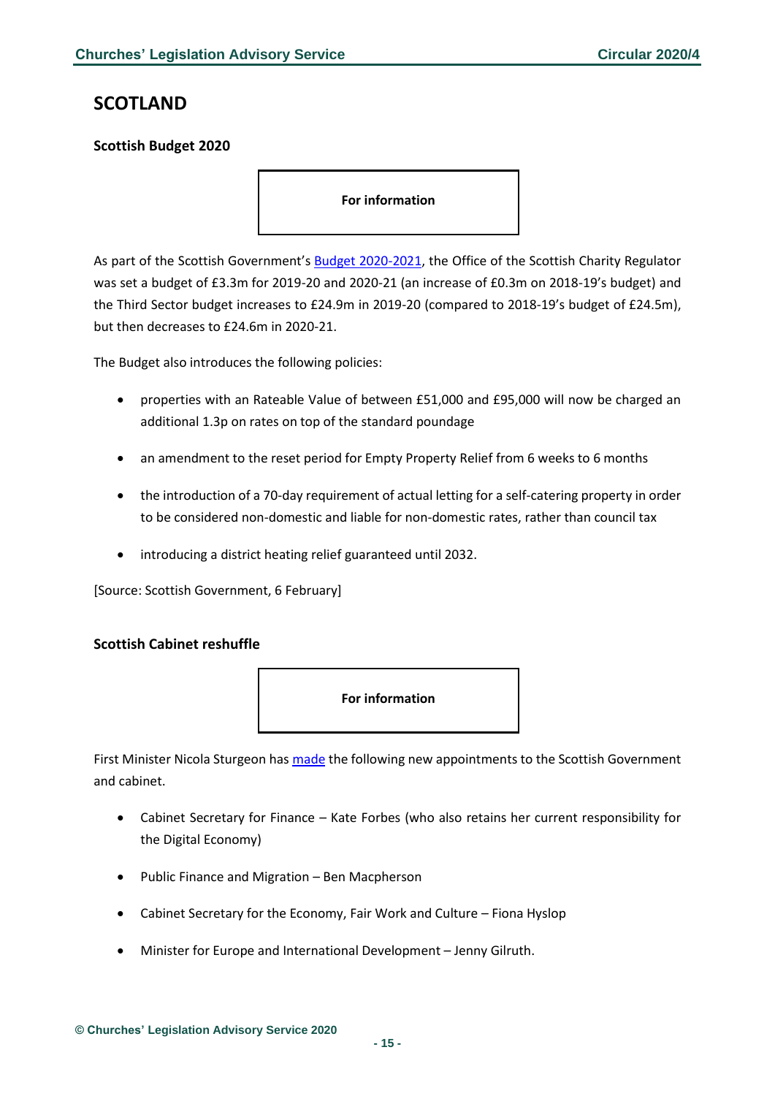# <span id="page-14-0"></span>**SCOTLAND**

### <span id="page-14-1"></span>**Scottish Budget 2020**

**For information** 

As part of the Scottish Government's [Budget 2020-2021,](https://www.gov.scot/publications/scottish-budget-2020-21/pages/1/) the Office of the Scottish Charity Regulator was set a budget of £3.3m for 2019-20 and 2020-21 (an increase of £0.3m on 2018-19's budget) and the Third Sector budget increases to £24.9m in 2019-20 (compared to 2018-19's budget of £24.5m), but then decreases to £24.6m in 2020-21.

The Budget also introduces the following policies:

- properties with an Rateable Value of between £51,000 and £95,000 will now be charged an additional 1.3p on rates on top of the standard poundage
- an amendment to the reset period for Empty Property Relief from 6 weeks to 6 months
- the introduction of a 70-day requirement of actual letting for a self-catering property in order to be considered non-domestic and liable for non-domestic rates, rather than council tax
- introducing a district heating relief guaranteed until 2032.

[Source: Scottish Government, 6 February]

### <span id="page-14-2"></span>**Scottish Cabinet reshuffle**



First Minister Nicola Sturgeon has [made](https://www.gov.scot/news/cabinet-appointments/) the following new appointments to the Scottish Government and cabinet.

- Cabinet Secretary for Finance Kate Forbes (who also retains her current responsibility for the Digital Economy)
- Public Finance and Migration Ben Macpherson
- Cabinet Secretary for the Economy, Fair Work and Culture Fiona Hyslop
- Minister for Europe and International Development Jenny Gilruth.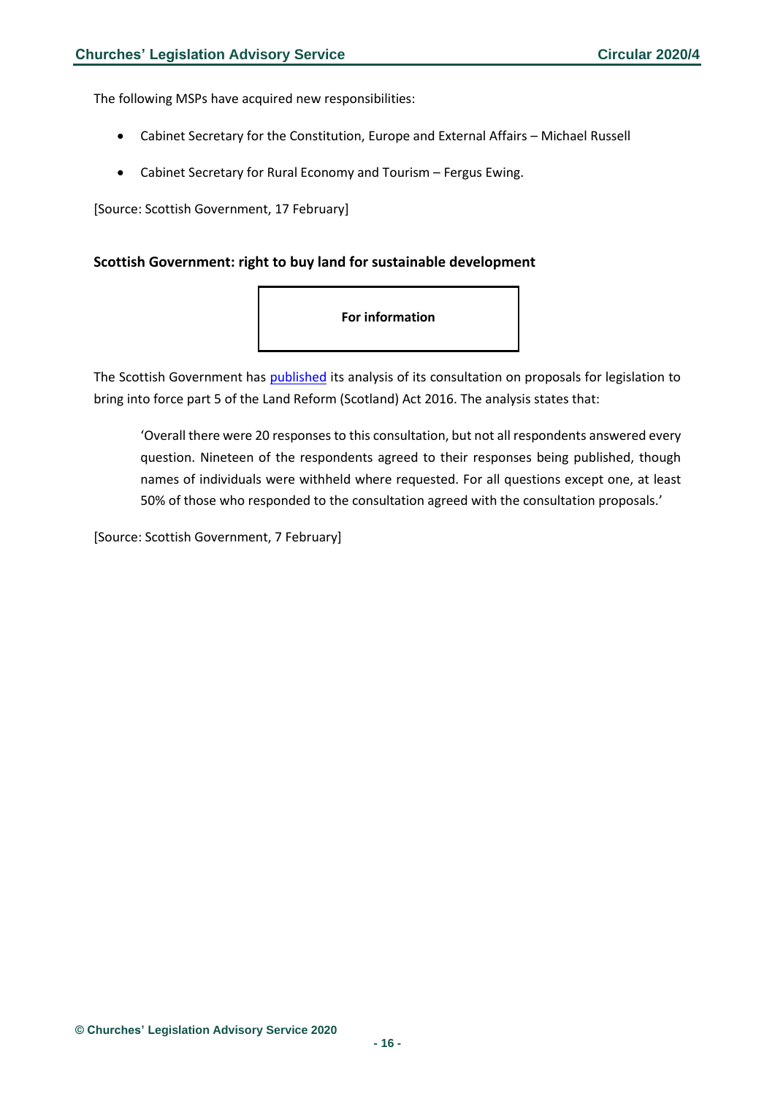The following MSPs have acquired new responsibilities:

- Cabinet Secretary for the Constitution, Europe and External Affairs Michael Russell
- Cabinet Secretary for Rural Economy and Tourism Fergus Ewing.

[Source: Scottish Government, 17 February]

### <span id="page-15-0"></span>**Scottish Government: right to buy land for sustainable development**

#### **For information**

The Scottish Government has [published](https://www.gov.scot/publications/consultation-right-buy-land-further-sustainable-development-consultation-analysis/) its analysis of its consultation on proposals for legislation to bring into force part 5 of the Land Reform (Scotland) Act 2016. The analysis states that:

'Overall there were 20 responses to this consultation, but not all respondents answered every question. Nineteen of the respondents agreed to their responses being published, though names of individuals were withheld where requested. For all questions except one, at least 50% of those who responded to the consultation agreed with the consultation proposals.'

[Source: Scottish Government, 7 February]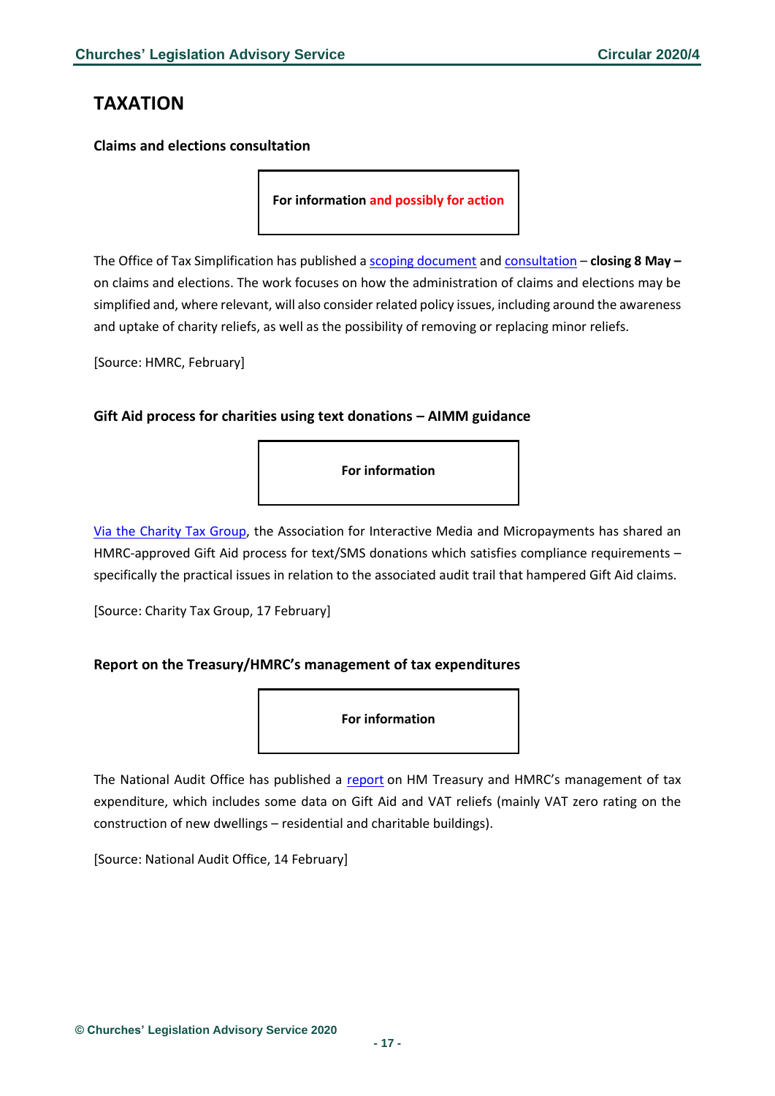# <span id="page-16-0"></span>**TAXATION**

<span id="page-16-1"></span>**Claims and elections consultation**

**For information and possibly for action**

The Office of Tax Simplification has published a [scoping document](https://assets.publishing.service.gov.uk/government/uploads/system/uploads/attachment_data/file/862949/Claims_and_elections_scoping_document.pdf) an[d consultation](https://assets.publishing.service.gov.uk/government/uploads/system/uploads/attachment_data/file/864879/OTS_claims_and_elections_review_call_for_evidence.pdf) – **closing 8 May –** on claims and elections. The work focuses on how the administration of claims and elections may be simplified and, where relevant, will also consider related policy issues, including around the awareness and uptake of charity reliefs, as well as the possibility of removing or replacing minor reliefs.

[Source: HMRC, February]

#### <span id="page-16-2"></span>**Gift Aid process for charities using text donations – AIMM guidance**

**For information** 

[Via the Charity Tax Group,](https://www.charitytaxgroup.org.uk/news-post/2020/gift-aid-process-charities-using-text-donations-aimm/) the Association for Interactive Media and Micropayments has shared an HMRC-approved Gift Aid process for text/SMS donations which satisfies compliance requirements – specifically the practical issues in relation to the associated audit trail that hampered Gift Aid claims.

[Source: Charity Tax Group, 17 February]

### <span id="page-16-3"></span>**Report on the Treasury/HMRC's management of tax expenditures**

**For information** 

The National Audit Office has published a [report](https://www.nao.org.uk/wp-content/uploads/2020/02/The-management-of-tax-expenditure.pdf) on HM Treasury and HMRC's management of tax expenditure, which includes some data on Gift Aid and VAT reliefs (mainly VAT zero rating on the construction of new dwellings – residential and charitable buildings).

[Source: National Audit Office, 14 February]